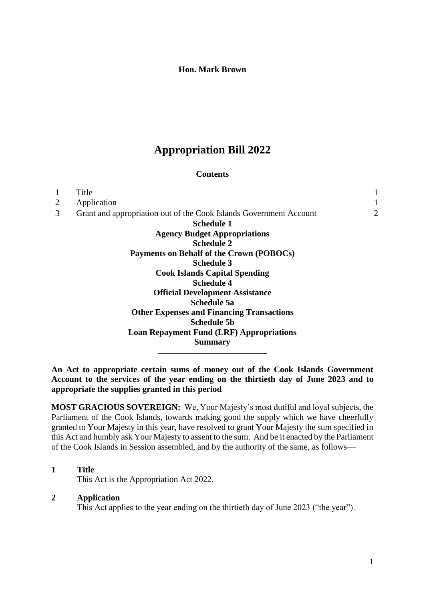#### **Hon. Mark Brown**

# **Appropriation Bill 2022**

#### **Contents**

|                | Title                                                              |   |
|----------------|--------------------------------------------------------------------|---|
| $\overline{2}$ | Application                                                        | 1 |
| 3              | Grant and appropriation out of the Cook Islands Government Account | 2 |
|                | Schedule 1                                                         |   |
|                | <b>Agency Budget Appropriations</b>                                |   |
|                | <b>Schedule 2</b>                                                  |   |
|                | Payments on Behalf of the Crown (POBOCs)                           |   |
|                | <b>Schedule 3</b>                                                  |   |
|                | <b>Cook Islands Capital Spending</b>                               |   |
|                | <b>Schedule 4</b>                                                  |   |
|                | <b>Official Development Assistance</b>                             |   |
|                | <b>Schedule 5a</b>                                                 |   |
|                | <b>Other Expenses and Financing Transactions</b>                   |   |
|                | Schedule 5b                                                        |   |
|                | <b>Loan Repayment Fund (LRF) Appropriations</b>                    |   |
|                | <b>Summary</b>                                                     |   |
|                |                                                                    |   |

**An Act to appropriate certain sums of money out of the Cook Islands Government Account to the services of the year ending on the thirtieth day of June 2023 and to appropriate the supplies granted in this period**

**MOST GRACIOUS SOVEREIGN:** We, Your Majesty's most dutiful and loyal subjects, the Parliament of the Cook Islands, towards making good the supply which we have cheerfully granted to Your Majesty in this year, have resolved to grant Your Majesty the sum specified in this Act and humbly ask Your Majesty to assent to the sum. And be it enacted by the Parliament of the Cook Islands in Session assembled, and by the authority of the same, as follows—

#### **1 Title**

This Act is the Appropriation Act 2022.

# <span id="page-0-0"></span>**2 Application**

This Act applies to the year ending on the thirtieth day of June 2023 ("the year").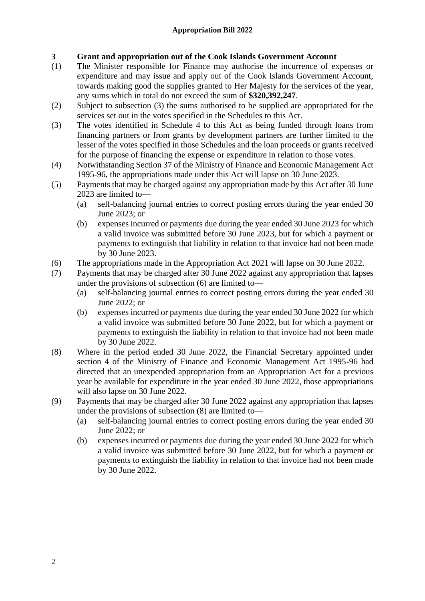# **3 Grant and appropriation out of the Cook Islands Government Account**

- (1) The Minister responsible for Finance may authorise the incurrence of expenses or expenditure and may issue and apply out of the Cook Islands Government Account, towards making good the supplies granted to Her Majesty for the services of the year, any sums which in total do not exceed the sum of **\$320,392,247**.
- (2) Subject to subsection (3) the sums authorised to be supplied are appropriated for the services set out in the votes specified in the Schedules to this Act.
- (3) The votes identified in Schedule 4 to this Act as being funded through loans from financing partners or from grants by development partners are further limited to the lesser of the votes specified in those Schedules and the loan proceeds or grants received for the purpose of financing the expense or expenditure in relation to those votes.
- (4) Notwithstanding Section 37 of the Ministry of Finance and Economic Management Act 1995-96, the appropriations made under this Act will lapse on 30 June 2023.
- (5) Payments that may be charged against any appropriation made by this Act after 30 June 2023 are limited to—
	- (a) self-balancing journal entries to correct posting errors during the year ended 30 June 2023; or
	- (b) expenses incurred or payments due during the year ended 30 June 2023 for which a valid invoice was submitted before 30 June 2023, but for which a payment or payments to extinguish that liability in relation to that invoice had not been made by 30 June 2023.
- (6) The appropriations made in the Appropriation Act 2021 will lapse on 30 June 2022.
- (7) Payments that may be charged after 30 June 2022 against any appropriation that lapses under the provisions of subsection (6) are limited to—
	- (a) self-balancing journal entries to correct posting errors during the year ended 30 June 2022; or
	- (b) expenses incurred or payments due during the year ended 30 June 2022 for which a valid invoice was submitted before 30 June 2022, but for which a payment or payments to extinguish the liability in relation to that invoice had not been made by 30 June 2022.
- (8) Where in the period ended 30 June 2022, the Financial Secretary appointed under section 4 of the Ministry of Finance and Economic Management Act 1995-96 had directed that an unexpended appropriation from an Appropriation Act for a previous year be available for expenditure in the year ended 30 June 2022, those appropriations will also lapse on 30 June 2022.
- (9) Payments that may be charged after 30 June 2022 against any appropriation that lapses under the provisions of subsection (8) are limited to—
	- (a) self-balancing journal entries to correct posting errors during the year ended 30 June 2022; or
	- (b) expenses incurred or payments due during the year ended 30 June 2022 for which a valid invoice was submitted before 30 June 2022, but for which a payment or payments to extinguish the liability in relation to that invoice had not been made by 30 June 2022.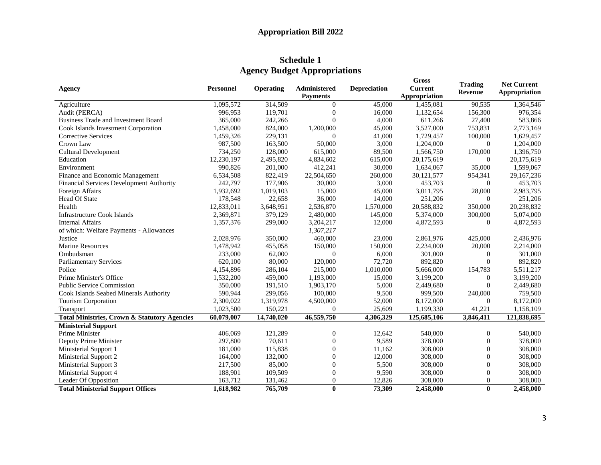**Schedule 1 Agency Budget Appropriations**

| Agency                                                  | <b>Personnel</b> | <b>Operating</b> | Administered     | <b>Depreciation</b> | <b>Gross</b><br><b>Current</b> | <b>Trading</b><br>Revenue | <b>Net Current</b><br>Appropriation |
|---------------------------------------------------------|------------------|------------------|------------------|---------------------|--------------------------------|---------------------------|-------------------------------------|
|                                                         |                  |                  | <b>Payments</b>  |                     | Appropriation                  |                           |                                     |
| Agriculture                                             | 1,095,572        | 314,509          | $\theta$         | 45,000              | 1,455,081                      | 90,535                    | 1,364,546                           |
| Audit (PERCA)                                           | 996,953          | 119,701          | $\overline{0}$   | 16,000              | 1,132,654                      | 156,300                   | 976,354                             |
| Business Trade and Investment Board                     | 365,000          | 242,266          | $\overline{0}$   | 4,000               | 611,266                        | 27,400                    | 583,866                             |
| Cook Islands Investment Corporation                     | 1,458,000        | 824,000          | 1,200,000        | 45,000              | 3,527,000                      | 753,831                   | 2,773,169                           |
| Corrective Services                                     | 1,459,326        | 229,131          | $\theta$         | 41,000              | 1,729,457                      | 100,000                   | 1,629,457                           |
| Crown Law                                               | 987,500          | 163,500          | 50,000           | 3,000               | 1,204,000                      | $\Omega$                  | 1,204,000                           |
| <b>Cultural Development</b>                             | 734,250          | 128,000          | 615,000          | 89,500              | 1,566,750                      | 170,000                   | 1,396,750                           |
| Education                                               | 12,230,197       | 2,495,820        | 4,834,602        | 615,000             | 20,175,619                     | $\Omega$                  | 20,175,619                          |
| Environment                                             | 990,826          | 201,000          | 412,241          | 30,000              | 1,634,067                      | 35,000                    | 1,599,067                           |
| Finance and Economic Management                         | 6,534,508        | 822,419          | 22,504,650       | 260,000             | 30,121,577                     | 954,341                   | 29,167,236                          |
| Financial Services Development Authority                | 242,797          | 177,906          | 30,000           | 3,000               | 453,703                        | $\overline{0}$            | 453,703                             |
| Foreign Affairs                                         | 1,932,692        | 1,019,103        | 15,000           | 45,000              | 3,011,795                      | 28,000                    | 2,983,795                           |
| Head Of State                                           | 178,548          | 22,658           | 36,000           | 14,000              | 251,206                        | $\Omega$                  | 251,206                             |
| Health                                                  | 12,833,011       | 3,648,951        | 2,536,870        | 1,570,000           | 20,588,832                     | 350,000                   | 20,238,832                          |
| <b>Infrastructure Cook Islands</b>                      | 2,369,871        | 379,129          | 2,480,000        | 145,000             | 5,374,000                      | 300,000                   | 5,074,000                           |
| <b>Internal Affairs</b>                                 | 1,357,376        | 299,000          | 3,204,217        | 12,000              | 4,872,593                      | $\overline{0}$            | 4,872,593                           |
| of which: Welfare Payments - Allowances                 |                  |                  | 1,307,217        |                     |                                |                           |                                     |
| Justice                                                 | 2,028,976        | 350,000          | 460,000          | 23,000              | 2,861,976                      | 425,000                   | 2,436,976                           |
| <b>Marine Resources</b>                                 | 1,478,942        | 455,058          | 150,000          | 150,000             | 2,234,000                      | 20,000                    | 2,214,000                           |
| Ombudsman                                               | 233,000          | 62,000           | $\theta$         | 6,000               | 301,000                        | $\mathbf{0}$              | 301,000                             |
| <b>Parliamentary Services</b>                           | 620.100          | 80,000           | 120,000          | 72,720              | 892,820                        | $\mathbf{0}$              | 892,820                             |
| Police                                                  | 4,154,896        | 286,104          | 215,000          | 1,010,000           | 5,666,000                      | 154,783                   | 5,511,217                           |
| Prime Minister's Office                                 | 1,532,200        | 459,000          | 1,193,000        | 15,000              | 3,199,200                      | $\overline{0}$            | 3,199,200                           |
| <b>Public Service Commission</b>                        | 350,000          | 191,510          | 1,903,170        | 5,000               | 2,449,680                      | $\theta$                  | 2,449,680                           |
| Cook Islands Seabed Minerals Authority                  | 590,944          | 299,056          | 100,000          | 9,500               | 999,500                        | 240,000                   | 759,500                             |
| Tourism Corporation                                     | 2,300,022        | 1,319,978        | 4,500,000        | 52,000              | 8,172,000                      | $\overline{0}$            | 8,172,000                           |
| Transport                                               | 1,023,500        | 150,221          | $\Omega$         | 25,609              | 1,199,330                      | 41,221                    | 1,158,109                           |
| <b>Total Ministries, Crown &amp; Statutory Agencies</b> | 60.079.007       | 14,740,020       | 46,559,750       | 4,306,329           | 125,685,106                    | 3,846,411                 | 121,838,695                         |
| <b>Ministerial Support</b>                              |                  |                  |                  |                     |                                |                           |                                     |
| Prime Minister                                          | 406,069          | 121,289          | $\mathbf{0}$     | 12,642              | 540,000                        | $\overline{0}$            | 540,000                             |
| Deputy Prime Minister                                   | 297,800          | 70.611           | $\mathbf{0}$     | 9,589               | 378,000                        | $\mathbf{0}$              | 378,000                             |
| Ministerial Support 1                                   | 181,000          | 115,838          | $\Omega$         | 11,162              | 308,000                        | $\theta$                  | 308,000                             |
| Ministerial Support 2                                   | 164,000          | 132,000          | $\theta$         | 12,000              | 308,000                        | $\overline{0}$            | 308,000                             |
| Ministerial Support 3                                   | 217,500          | 85,000           | $\boldsymbol{0}$ | 5,500               | 308,000                        | $\boldsymbol{0}$          | 308,000                             |
| Ministerial Support 4                                   | 188,901          | 109,509          | $\boldsymbol{0}$ | 9,590               | 308,000                        | $\boldsymbol{0}$          | 308,000                             |
| Leader Of Opposition                                    | 163,712          | 131,462          | $\boldsymbol{0}$ | 12,826              | 308,000                        | $\boldsymbol{0}$          | 308,000                             |
| <b>Total Ministerial Support Offices</b>                | 1,618,982        | 765,709          | $\mathbf{0}$     | 73,309              | 2,458,000                      | $\bf{0}$                  | 2,458,000                           |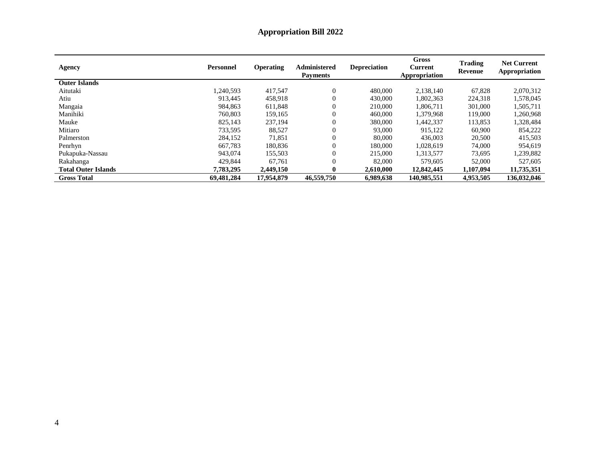# **Appropriation Bill 2022**

| <b>Agency</b>              | <b>Personnel</b> | <b>Operating</b> | Administered<br><b>Payments</b> | <b>Depreciation</b> | Gross<br><b>Current</b><br>Appropriation | <b>Trading</b><br>Revenue | <b>Net Current</b><br>Appropriation |
|----------------------------|------------------|------------------|---------------------------------|---------------------|------------------------------------------|---------------------------|-------------------------------------|
| <b>Outer Islands</b>       |                  |                  |                                 |                     |                                          |                           |                                     |
| Aitutaki                   | 1.240.593        | 417,547          | $\theta$                        | 480,000             | 2,138,140                                | 67,828                    | 2,070,312                           |
| Atiu                       | 913.445          | 458.918          | $\theta$                        | 430,000             | 1.802.363                                | 224,318                   | 1,578,045                           |
| Mangaia                    | 984.863          | 611,848          | $\boldsymbol{0}$                | 210,000             | 1.806.711                                | 301,000                   | 1,505,711                           |
| Manihiki                   | 760,803          | 159,165          | $\theta$                        | 460,000             | 1,379,968                                | 119,000                   | 1,260,968                           |
| Mauke                      | 825,143          | 237,194          | $\overline{0}$                  | 380,000             | 1,442,337                                | 113,853                   | 1,328,484                           |
| Mitiaro                    | 733.595          | 88.527           | $\overline{0}$                  | 93,000              | 915,122                                  | 60,900                    | 854,222                             |
| Palmerston                 | 284,152          | 71,851           | $\overline{0}$                  | 80,000              | 436,003                                  | 20,500                    | 415,503                             |
| Penrhyn                    | 667,783          | 180,836          | $\overline{0}$                  | 180,000             | 1,028,619                                | 74,000                    | 954,619                             |
| Pukapuka-Nassau            | 943.074          | 155,503          | $\Omega$                        | 215,000             | 1,313,577                                | 73,695                    | 1,239,882                           |
| Rakahanga                  | 429,844          | 67,761           | $\overline{0}$                  | 82,000              | 579,605                                  | 52,000                    | 527,605                             |
| <b>Total Outer Islands</b> | 7,783,295        | 2,449,150        | 0                               | 2,610,000           | 12,842,445                               | 1,107,094                 | 11,735,351                          |
| <b>Gross Total</b>         | 69,481,284       | 17.954.879       | 46,559,750                      | 6.989.638           | 140,985,551                              | 4,953,505                 | 136,032,046                         |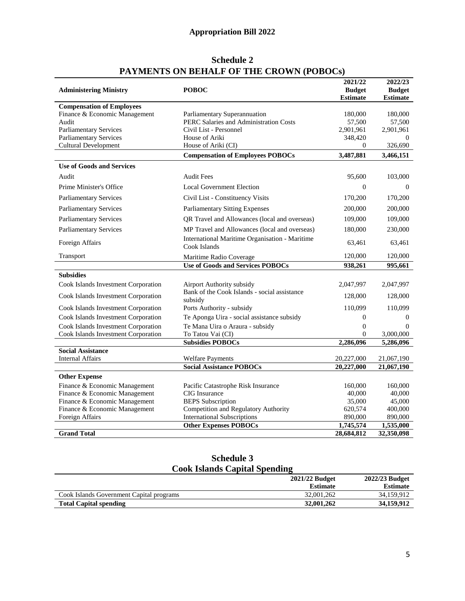# **Appropriation Bill 2022**

| THERMEN TO ON DEMINIER OF THE CROWN (FODOCS) | 2021/22                                                        | 2022/23                          |                                     |
|----------------------------------------------|----------------------------------------------------------------|----------------------------------|-------------------------------------|
| <b>Administering Ministry</b>                | <b>POBOC</b>                                                   | <b>Budget</b><br><b>Estimate</b> | <b>Budget</b><br><b>Estimate</b>    |
| <b>Compensation of Employees</b>             |                                                                |                                  |                                     |
| Finance & Economic Management                | Parliamentary Superannuation                                   | 180,000                          | 180,000                             |
| Audit                                        | PERC Salaries and Administration Costs                         | 57,500                           | 57,500                              |
| <b>Parliamentary Services</b>                | Civil List - Personnel                                         | 2,901,961                        | 2,901,961                           |
| <b>Parliamentary Services</b>                | House of Ariki                                                 | 348,420                          | $\bf{0}$                            |
| <b>Cultural Development</b>                  | House of Ariki (CI)                                            | $\mathbf{0}$                     | 326,690                             |
|                                              | <b>Compensation of Employees POBOCs</b>                        | 3,487,881                        | 3,466,151                           |
| <b>Use of Goods and Services</b>             |                                                                |                                  |                                     |
| Audit                                        | <b>Audit Fees</b>                                              | 95,600                           | 103,000                             |
| Prime Minister's Office                      | <b>Local Government Election</b>                               | $\mathbf{0}$                     | $\theta$                            |
| <b>Parliamentary Services</b>                | Civil List - Constituency Visits                               | 170,200                          | 170,200                             |
| <b>Parliamentary Services</b>                | <b>Parliamentary Sitting Expenses</b>                          | 200,000                          | 200,000                             |
| <b>Parliamentary Services</b>                | QR Travel and Allowances (local and overseas)                  | 109,000                          | 109,000                             |
| <b>Parliamentary Services</b>                | MP Travel and Allowances (local and overseas)                  | 180,000                          | 230,000                             |
| Foreign Affairs                              | International Maritime Organisation - Maritime<br>Cook Islands | 63,461                           | 63,461                              |
| Transport                                    | Maritime Radio Coverage                                        | 120,000                          | 120,000                             |
|                                              | <b>Use of Goods and Services POBOCs</b>                        | 938,261                          | 995,661                             |
| <b>Subsidies</b>                             |                                                                |                                  |                                     |
| Cook Islands Investment Corporation          | Airport Authority subsidy                                      | 2,047,997                        | 2,047,997                           |
| Cook Islands Investment Corporation          | Bank of the Cook Islands - social assistance<br>subsidy        | 128,000                          | 128,000                             |
| Cook Islands Investment Corporation          | Ports Authority - subsidy                                      | 110,099                          | 110,099                             |
| Cook Islands Investment Corporation          | Te Aponga Uira - social assistance subsidy                     | $\boldsymbol{0}$                 | $\mathbf{0}$                        |
| Cook Islands Investment Corporation          | Te Mana Uira o Araura - subsidy                                | $\boldsymbol{0}$                 | $\Omega$                            |
| Cook Islands Investment Corporation          | To Tatou Vai (CI)<br><b>Subsidies POBOCs</b>                   | $\overline{0}$<br>2,286,096      | 3,000,000<br>$\overline{5,}286,096$ |
| <b>Social Assistance</b>                     |                                                                |                                  |                                     |
| <b>Internal Affairs</b>                      | <b>Welfare Payments</b>                                        | 20,227,000                       | 21,067,190                          |
|                                              | <b>Social Assistance POBOCs</b>                                | 20,227,000                       | 21,067,190                          |
| <b>Other Expense</b>                         |                                                                |                                  |                                     |
| Finance & Economic Management                | Pacific Catastrophe Risk Insurance                             | 160,000                          | 160,000                             |
| Finance & Economic Management                | <b>CIG</b> Insurance                                           | 40,000                           | 40,000                              |
| Finance & Economic Management                | <b>BEPS</b> Subscription                                       | 35,000                           | 45,000                              |
| Finance & Economic Management                | Competition and Regulatory Authority                           | 620,574                          | 400,000                             |
| Foreign Affairs                              | <b>International Subscriptions</b>                             | 890,000                          | 890,000                             |
|                                              | <b>Other Expenses POBOCs</b>                                   | 1,745,574                        | 1,535,000                           |
| <b>Grand Total</b>                           |                                                                | 28,684,812                       | 32,350,098                          |

# **Schedule 2 PAYMENTS ON BEHALF OF THE CROWN (POBOCs)**

# **Schedule 3 Cook Islands Capital Spending**

| Coon namus Cuphui Spendhiq               |                 |                 |  |
|------------------------------------------|-----------------|-----------------|--|
|                                          | 2021/22 Budget  | 2022/23 Budget  |  |
|                                          | <b>Estimate</b> | <b>Estimate</b> |  |
| Cook Islands Government Capital programs | 32,001,262      | 34.159.912      |  |
| <b>Total Capital spending</b>            | 32,001,262      | 34,159,912      |  |